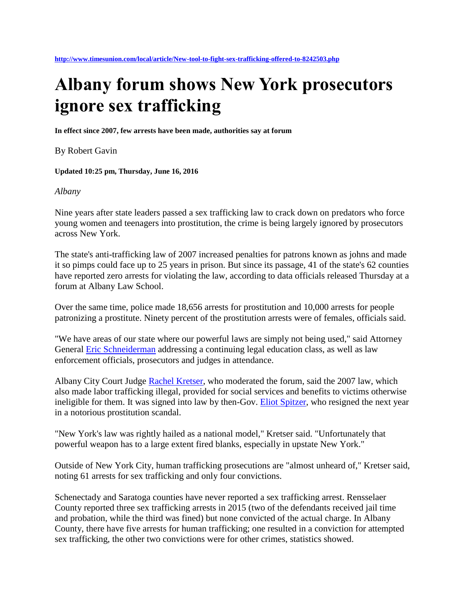## **Albany forum shows New York prosecutors ignore sex trafficking**

**In effect since 2007, few arrests have been made, authorities say at forum**

By Robert Gavin

**Updated 10:25 pm, Thursday, June 16, 2016** 

## *Albany*

Nine years after state leaders passed a sex trafficking law to crack down on predators who force young women and teenagers into prostitution, the crime is being largely ignored by prosecutors across New York.

The state's anti-trafficking law of 2007 increased penalties for patrons known as johns and made it so pimps could face up to 25 years in prison. But since its passage, 41 of the state's 62 counties have reported zero arrests for violating the law, according to data officials released Thursday at a forum at Albany Law School.

Over the same time, police made 18,656 arrests for prostitution and 10,000 arrests for people patronizing a prostitute. Ninety percent of the prostitution arrests were of females, officials said.

"We have areas of our state where our powerful laws are simply not being used," said Attorney General [Eric Schneiderman](http://www.timesunion.com/search/?action=search&channel=local&inlineLink=1&searchindex=gsa&query=%22Eric+Schneiderman%22) addressing a continuing legal education class, as well as law enforcement officials, prosecutors and judges in attendance.

Albany City Court Judge [Rachel Kretser,](http://www.timesunion.com/search/?action=search&channel=local&inlineLink=1&searchindex=gsa&query=%22Rachel+Kretser%22) who moderated the forum, said the 2007 law, which also made labor trafficking illegal, provided for social services and benefits to victims otherwise ineligible for them. It was signed into law by then-Gov. [Eliot Spitzer,](http://www.timesunion.com/search/?action=search&channel=local&inlineLink=1&searchindex=gsa&query=%22Eliot+Spitzer%22) who resigned the next year in a notorious prostitution scandal.

"New York's law was rightly hailed as a national model," Kretser said. "Unfortunately that powerful weapon has to a large extent fired blanks, especially in upstate New York."

Outside of New York City, human trafficking prosecutions are "almost unheard of," Kretser said, noting 61 arrests for sex trafficking and only four convictions.

Schenectady and Saratoga counties have never reported a sex trafficking arrest. Rensselaer County reported three sex trafficking arrests in 2015 (two of the defendants received jail time and probation, while the third was fined) but none convicted of the actual charge. In Albany County, there have five arrests for human trafficking; one resulted in a conviction for attempted sex trafficking, the other two convictions were for other crimes, statistics showed.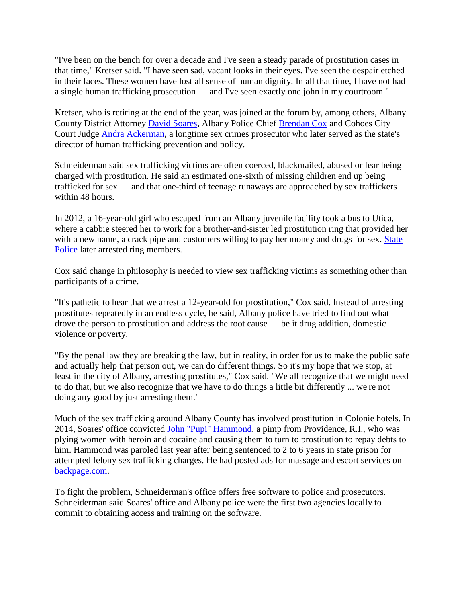"I've been on the bench for over a decade and I've seen a steady parade of prostitution cases in that time," Kretser said. "I have seen sad, vacant looks in their eyes. I've seen the despair etched in their faces. These women have lost all sense of human dignity. In all that time, I have not had a single human trafficking prosecution — and I've seen exactly one john in my courtroom."

Kretser, who is retiring at the end of the year, was joined at the forum by, among others, Albany County District Attorney [David Soares,](http://www.timesunion.com/search/?action=search&channel=local&inlineLink=1&searchindex=gsa&query=%22David+Soares%22) Albany Police Chief [Brendan Cox](http://www.timesunion.com/search/?action=search&channel=local&inlineLink=1&searchindex=gsa&query=%22Brendan+Cox%22) and Cohoes City Court Judge [Andra Ackerman,](http://www.timesunion.com/search/?action=search&channel=local&inlineLink=1&searchindex=gsa&query=%22Andra+Ackerman%22) a longtime sex crimes prosecutor who later served as the state's director of human trafficking prevention and policy.

Schneiderman said sex trafficking victims are often coerced, blackmailed, abused or fear being charged with prostitution. He said an estimated one-sixth of missing children end up being trafficked for sex — and that one-third of teenage runaways are approached by sex traffickers within 48 hours.

In 2012, a 16-year-old girl who escaped from an Albany juvenile facility took a bus to Utica, where a cabbie steered her to work for a brother-and-sister led prostitution ring that provided her with a new name, a crack pipe and customers willing to pay her money and drugs for sex. State [Police](http://www.timesunion.com/search/?action=search&channel=local&inlineLink=1&searchindex=gsa&query=%22State+Police%22) later arrested ring members.

Cox said change in philosophy is needed to view sex trafficking victims as something other than participants of a crime.

"It's pathetic to hear that we arrest a 12-year-old for prostitution," Cox said. Instead of arresting prostitutes repeatedly in an endless cycle, he said, Albany police have tried to find out what drove the person to prostitution and address the root cause — be it drug addition, domestic violence or poverty.

"By the penal law they are breaking the law, but in reality, in order for us to make the public safe and actually help that person out, we can do different things. So it's my hope that we stop, at least in the city of Albany, arresting prostitutes," Cox said. "We all recognize that we might need to do that, but we also recognize that we have to do things a little bit differently ... we're not doing any good by just arresting them."

Much of the sex trafficking around Albany County has involved prostitution in Colonie hotels. In 2014, Soares' office convicted [John "Pupi" Hammond,](http://www.timesunion.com/search/?action=search&channel=local&inlineLink=1&searchindex=gsa&query=%22John+%22Pupi%22+Hammond%22) a pimp from Providence, R.I., who was plying women with heroin and cocaine and causing them to turn to prostitution to repay debts to him. Hammond was paroled last year after being sentenced to 2 to 6 years in state prison for attempted felony sex trafficking charges. He had posted ads for massage and escort services on [backpage.com.](http://backpage.com/)

To fight the problem, Schneiderman's office offers free software to police and prosecutors. Schneiderman said Soares' office and Albany police were the first two agencies locally to commit to obtaining access and training on the software.